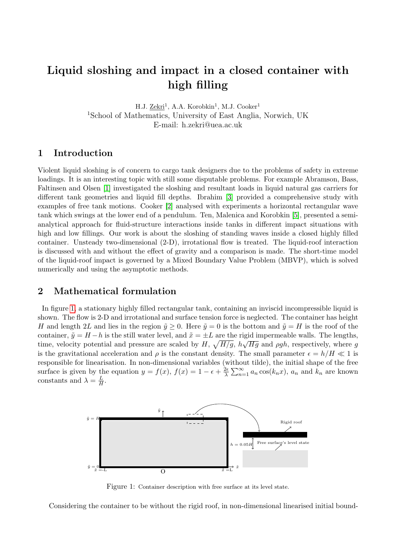# Liquid sloshing and impact in a closed container with high filling

H.J. Zekri<sup>1</sup>, A.A. Korobkin<sup>1</sup>, M.J. Cooker<sup>1</sup> <sup>1</sup>School of Mathematics, University of East Anglia, Norwich, UK E-mail: h.zekri@uea.ac.uk

# 1 Introduction

Violent liquid sloshing is of concern to cargo tank designers due to the problems of safety in extreme loadings. It is an interesting topic with still some disputable problems. For example Abramson, Bass, Faltinsen and Olsen [\[1\]](#page-2-0) investigated the sloshing and resultant loads in liquid natural gas carriers for different tank geometries and liquid fill depths. Ibrahim [\[3\]](#page-2-1) provided a comprehensive study with examples of free tank motions. Cooker [\[2\]](#page-2-2) analysed with experiments a horizontal rectangular wave tank which swings at the lower end of a pendulum. Ten, Malenica and Korobkin [\[5\]](#page-2-3), presented a semianalytical approach for fluid-structure interactions inside tanks in different impact situations with high and low fillings. Our work is about the sloshing of standing waves inside a closed highly filled container. Unsteady two-dimensional (2-D), irrotational flow is treated. The liquid-roof interaction is discussed with and without the effect of gravity and a comparison is made. The short-time model of the liquid-roof impact is governed by a Mixed Boundary Value Problem (MBVP), which is solved numerically and using the asymptotic methods.

# 2 Mathematical formulation

In figure [1,](#page-0-0) a stationary highly filled rectangular tank, containing an inviscid incompressible liquid is shown. The flow is 2-D and irrotational and surface tension force is neglected. The container has height H and length 2L and lies in the region  $\tilde{\gamma} > 0$ . Here  $\tilde{\gamma} = 0$  is the bottom and  $\tilde{\gamma} = H$  is the roof of the container,  $\tilde{y} = H - h$  is the still water level, and  $\tilde{x} = \pm L$  are the rigid impermeable walls. The lengths, time, velocity potential and pressure are scaled by  $H$ ,  $\sqrt{H/g}$ ,  $h\sqrt{Hg}$  and  $\rho gh$ , respectively, where g is the gravitational acceleration and  $\rho$  is the constant density. The small parameter  $\epsilon = h/H \ll 1$  is responsible for linearisation. In non-dimensional variables (without tilde), the initial shape of the free surface is given by the equation  $y = f(x)$ ,  $f(x) = 1 - \epsilon + \frac{2\epsilon}{\lambda}$  $\frac{2\epsilon}{\lambda} \sum_{n=1}^{\infty} a_n \cos(k_n x)$ ,  $a_n$  and  $k_n$  are known constants and  $\lambda = \frac{L}{H}$  $\frac{L}{H}$  .

<span id="page-0-0"></span>

Figure 1: Container description with free surface at its level state.

Considering the container to be without the rigid roof, in non-dimensional linearised initial bound-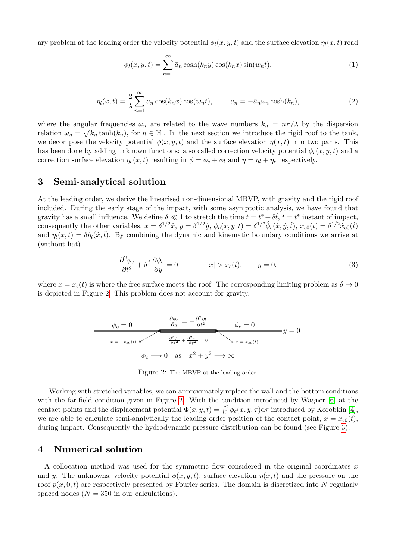ary problem at the leading order the velocity potential  $\phi_l(x, y, t)$  and the surface elevation  $\eta_l(x, t)$  read

$$
\phi_l(x, y, t) = \sum_{n=1}^{\infty} \bar{a}_n \cosh(k_n y) \cos(k_n x) \sin(w_n t), \qquad (1)
$$

$$
\eta_l(x,t) = \frac{2}{\lambda} \sum_{n=1}^{\infty} a_n \cos(k_n x) \cos(w_n t), \qquad a_n = -\bar{a}_n \omega_n \cosh(k_n), \tag{2}
$$

where the angular frequencies  $\omega_n$  are related to the wave numbers  $k_n = n\pi/\lambda$  by the dispersion relation  $\omega_n = \sqrt{k_n \tanh(k_n)}$ , for  $n \in \mathbb{N}$ . In the next section we introduce the rigid roof to the tank, we decompose the velocity potential  $\phi(x, y, t)$  and the surface elevation  $\eta(x, t)$  into two parts. This has been done by adding unknown functions: a so called correction velocity potential  $\phi_c(x, y, t)$  and a correction surface elevation  $\eta_c(x, t)$  resulting in  $\phi = \phi_c + \phi_l$  and  $\eta = \eta_l + \eta_c$  respectively.

#### <span id="page-1-1"></span>3 Semi-analytical solution

At the leading order, we derive the linearised non-dimensional MBVP, with gravity and the rigid roof included. During the early stage of the impact, with some asymptotic analysis, we have found that gravity has a small influence. We define  $\delta \ll 1$  to stretch the time  $t = t^* + \delta \hat{t}$ ,  $t = t^*$  instant of impact, consequently the other variables,  $x = \delta^{1/2}\hat{x}$ ,  $y = \delta^{1/2}\hat{y}$ ,  $\phi_c(x, y, t) = \delta^{1/2}\hat{\phi}_c(\hat{x}, \hat{y}, \hat{t})$ ,  $x_{c0}(t) = \delta^{1/2}\hat{x}_{c0}(\hat{t})$ and  $\eta_l(x,t) = \delta \hat{\eta}_l(\hat{x}, \hat{t})$ . By combining the dynamic and kinematic boundary conditions we arrive at (without hat)

$$
\frac{\partial^2 \phi_c}{\partial t^2} + \delta^{\frac{3}{2}} \frac{\partial \phi_c}{\partial y} = 0 \qquad |x| > x_c(t), \qquad y = 0,
$$
\n(3)

<span id="page-1-0"></span>where  $x = x_c(t)$  is where the free surface meets the roof. The corresponding limiting problem as  $\delta \to 0$ is depicted in Figure [2.](#page-1-0) This problem does not account for gravity.

$$
\phi_c = 0 \qquad \frac{\partial \phi_c}{\partial y} = -\frac{\partial^2 \eta_l}{\partial t^2} \qquad \phi_c = 0
$$
\n
$$
x = -x_{c0}(t) \qquad \frac{\partial^2 \phi_c}{\partial x^2} + \frac{\partial^2 \phi_c}{\partial y^2} = 0 \qquad \searrow x = x_{c0}(t)
$$
\n
$$
\phi_c \longrightarrow 0 \quad \text{as} \quad x^2 + y^2 \longrightarrow \infty
$$

Figure 2: The MBVP at the leading order.

Working with stretched variables, we can approximately replace the wall and the bottom conditions with the far-field condition given in Figure [2.](#page-1-0) With the condition introduced by Wagner [\[6\]](#page-2-4) at the contact points and the displacement potential  $\Phi(x, y, t) = \int_0^t \phi_c(x, y, \tau) d\tau$  introduced by Korobkin [\[4\]](#page-2-5), we are able to calculate semi-analytically the leading order position of the contact point,  $x = x_{c0}(t)$ , during impact. Consequently the hydrodynamic pressure distribution can be found (see Figure [3\)](#page-3-0).

#### 4 Numerical solution

A collocation method was used for the symmetric flow considered in the original coordinates  $x$ and y. The unknowns, velocity potential  $\phi(x, y, t)$ , surface elevation  $\eta(x, t)$  and the pressure on the roof  $p(x, 0, t)$  are respectively presented by Fourier series. The domain is discretized into N regularly spaced nodes  $(N = 350$  in our calculations).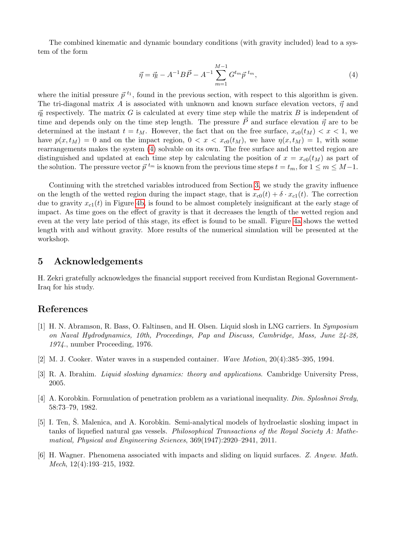The combined kinematic and dynamic boundary conditions (with gravity included) lead to a system of the form

<span id="page-2-6"></span>
$$
\vec{\eta} = \vec{\eta}_l - A^{-1}B\vec{P} - A^{-1}\sum_{m=1}^{M-1} G^{t_m}\vec{p}^{t_m},\tag{4}
$$

where the initial pressure  $\vec{p}^{t_1}$ , found in the previous section, with respect to this algorithm is given. The tri-diagonal matrix A is associated with unknown and known surface elevation vectors,  $\vec{\eta}$  and  $\vec{\eta}$  respectively. The matrix G is calculated at every time step while the matrix B is independent of time and depends only on the time step length. The pressure  $\vec{P}$  and surface elevation  $\vec{\eta}$  are to be determined at the instant  $t = t_M$ . However, the fact that on the free surface,  $x_{c0}(t_M) < x < 1$ , we have  $p(x, t_M) = 0$  and on the impact region,  $0 < x < x_{c0}(t_M)$ , we have  $\eta(x, t_M) = 1$ , with some rearrangements makes the system [\(4\)](#page-2-6) solvable on its own. The free surface and the wetted region are distinguished and updated at each time step by calculating the position of  $x = x_{c0}(t_M)$  as part of the solution. The pressure vector  $\vec{p}^{t_m}$  is known from the previous time steps  $t = t_m$ , for  $1 \le m \le M-1$ .

Continuing with the stretched variables introduced from Section [3,](#page-1-1) we study the gravity influence on the length of the wetted region during the impact stage, that is  $x_{c0}(t) + \delta \cdot x_{c1}(t)$ . The correction due to gravity  $x_{c1}(t)$  in Figure [4b,](#page-3-1) is found to be almost completely insignificant at the early stage of impact. As time goes on the effect of gravity is that it decreases the length of the wetted region and even at the very late period of this stage, its effect is found to be small. Figure [4a](#page-3-1) shows the wetted length with and without gravity. More results of the numerical simulation will be presented at the workshop.

# 5 Acknowledgements

H. Zekri gratefully acknowledges the financial support received from Kurdistan Regional Government-Iraq for his study.

# References

- <span id="page-2-0"></span>[1] H. N. Abramson, R. Bass, O. Faltinsen, and H. Olsen. Liquid slosh in LNG carriers. In Symposium on Naval Hydrodynamics, 10th, Proceedings, Pap and Discuss, Cambridge, Mass, June 24-28, 1974., number Proceeding, 1976.
- <span id="page-2-2"></span>[2] M. J. Cooker. Water waves in a suspended container. Wave Motion, 20(4):385–395, 1994.
- <span id="page-2-1"></span>[3] R. A. Ibrahim. *Liquid sloshing dynamics: theory and applications*. Cambridge University Press, 2005.
- <span id="page-2-5"></span>[4] A. Korobkin. Formulation of penetration problem as a variational inequality. Din. Sploshnoi Sredy, 58:73–79, 1982.
- <span id="page-2-3"></span>[5] I. Ten, Š. Malenica, and A. Korobkin. Semi-analytical models of hydroelastic sloshing impact in tanks of liquefied natural gas vessels. Philosophical Transactions of the Royal Society A: Mathematical, Physical and Engineering Sciences, 369(1947):2920–2941, 2011.
- <span id="page-2-4"></span>[6] H. Wagner. Phenomena associated with impacts and sliding on liquid surfaces. Z. Angew. Math. Mech, 12(4):193–215, 1932.